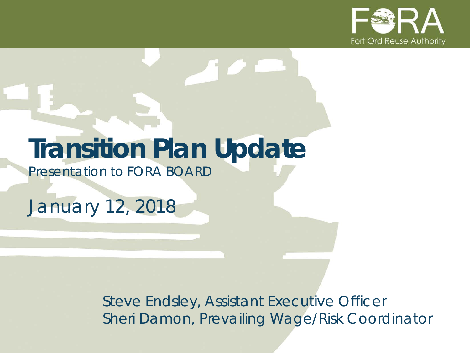

## **Transition Plan Update**

*Presentation to FORA BOARD*

*January 12, 2018*

*Steve Endsley, Assistant Executive Officer Sheri Damon, Prevailing Wage/Risk Coordinator*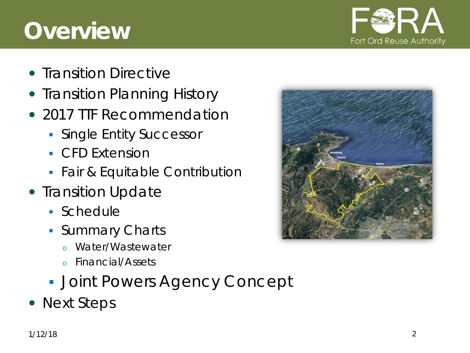## **Overview**



- Transition Directive
- Transition Planning History
- 2017 TTF Recommendation
	- **Single Entity Successor**
	- **CFD Extension**
	- **Fair & Equitable Contribution**
- Transition Update
	- Schedule
	- **Summary Charts** 
		- Water/Wastewater
		- <sup>o</sup> Financial/Assets
	- **Joint Powers Agency Concept**
- Next Steps

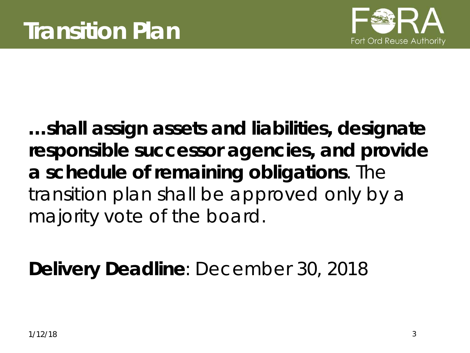

**…shall assign assets and liabilities, designate responsible successor agencies, and provide a schedule of remaining obligations**. The transition plan shall be approved only by a majority vote of the board.

**Delivery Deadline**: December 30, 2018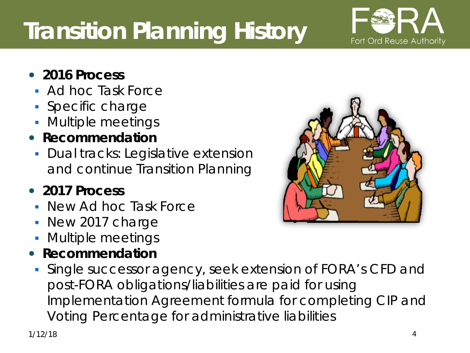## **Transition Planning History**

- **2016 Process**
	- Ad hoc Task Force
	- **Specific charge**
	- **Multiple meetings**
- **Recommendation**
	- **-** Dual tracks: Legislative extension and continue Transition Planning

#### **2017 Process**

- New Ad hoc Task Force
- New 2017 charge
- **Multiple meetings**
- **Recommendation** 
	- Single successor agency, seek extension of FORA's CFD and post-FORA obligations/liabilities are paid for using Implementation Agreement formula for completing CIP and Voting Percentage for administrative liabilities



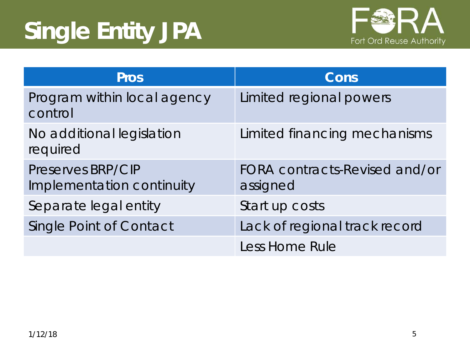# **Single Entity JPA**



| <b>Pros</b>                                    | Cons                                      |
|------------------------------------------------|-------------------------------------------|
| Program within local agency<br>control         | Limited regional powers                   |
| No additional legislation<br>required          | Limited financing mechanisms              |
| Preserves BRP/CIP<br>Implementation continuity | FORA contracts-Revised and/or<br>assigned |
| Separate legal entity                          | Start up costs                            |
| <b>Single Point of Contact</b>                 | Lack of regional track record             |
|                                                | Less Home Rule                            |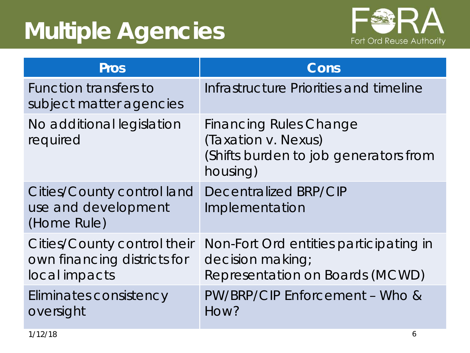## **Multiple Agencies**



| <b>Pros</b>                                                                 | Cons                                                                                                      |
|-----------------------------------------------------------------------------|-----------------------------------------------------------------------------------------------------------|
| Function transfers to<br>subject matter agencies                            | Infrastructure Priorities and timeline                                                                    |
| No additional legislation<br>required                                       | <b>Financing Rules Change</b><br>(Taxation v. Nexus)<br>(Shifts burden to job generators from<br>housing) |
| Cities/County control land<br>use and development<br>(Home Rule)            | Decentralized BRP/CIP<br>Implementation                                                                   |
| Cities/County control their<br>own financing districts for<br>local impacts | Non-Fort Ord entities participating in<br>decision making;<br>Representation on Boards (MCWD)             |
| Eliminates consistency<br>oversight                                         | PW/BRP/CIP Enforcement - Who &<br>How?                                                                    |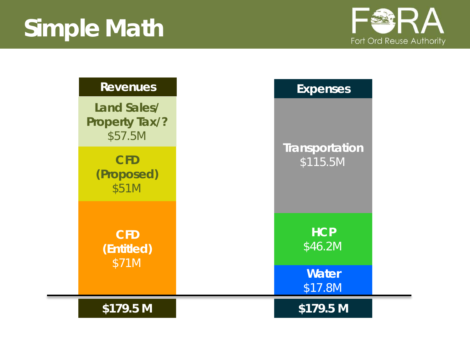

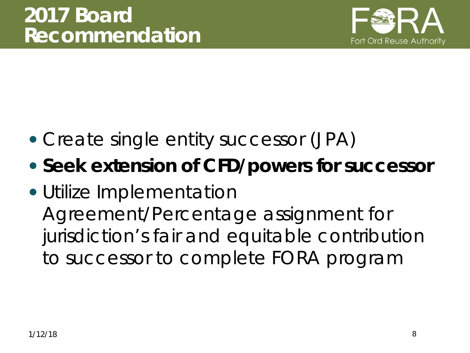

- Create single entity successor (JPA)
- **Seek extension of CFD/powers for successor**
- Utilize Implementation Agreement/Percentage assignment for jurisdiction's fair and equitable contribution to successor to complete FORA program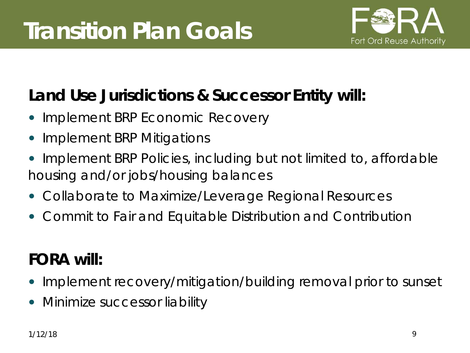

#### **Land Use Jurisdictions & Successor Entity will:**

- Implement BRP Economic Recovery
- Implement BRP Mitigations
- Implement BRP Policies, *including but not limited to, affordable housing and/or jobs/housing balances*
- Collaborate to Maximize/Leverage Regional Resources
- Commit to Fair and Equitable Distribution and Contribution

### **FORA will:**

- Implement recovery/mitigation/building removal prior to sunset
- Minimize successor liability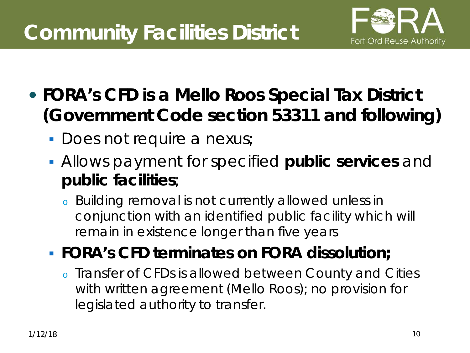### **Community Facilities District**



- **FORA's CFD is a Mello Roos Special Tax District (Government Code section 53311 and following)**
	- **Does not require a nexus;**
	- Allows payment for specified **public services** and **public facilities**;
		- <sup>o</sup> Building removal is not currently allowed unless in conjunction with an identified public facility which will remain in existence longer than five years
	- **FORA's CFD terminates on FORA dissolution;** 
		- <sup>o</sup> Transfer of CFDs is allowed between County and Cities with written agreement (Mello Roos); no provision for legislated authority to transfer.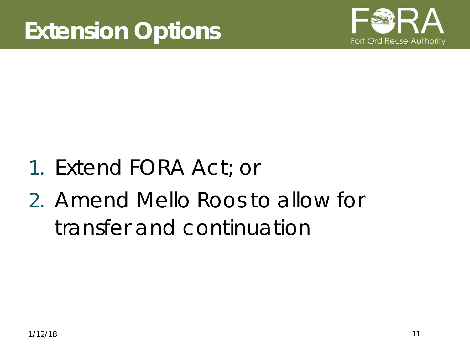

- 1. Extend FORA Act; or
- 2. Amend Mello Roos to allow for transfer and continuation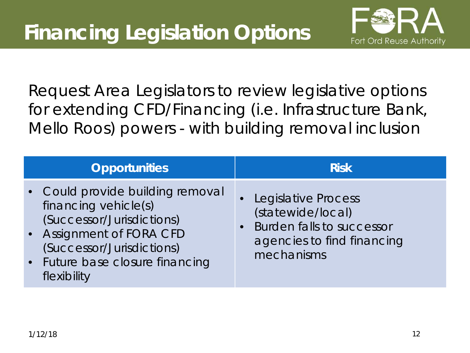

Request Area Legislators to review legislative options for extending CFD/Financing (i.e. Infrastructure Bank, Mello Roos) powers - with building removal inclusion

| <b>Opportunities</b>                                                                                                                                                                             | <b>Risk</b>                                                                                                                           |
|--------------------------------------------------------------------------------------------------------------------------------------------------------------------------------------------------|---------------------------------------------------------------------------------------------------------------------------------------|
| • Could provide building removal<br>financing vehicle(s)<br>(Successor/Jurisdictions)<br>• Assignment of FORA CFD<br>(Successor/Jurisdictions)<br>• Future base closure financing<br>flexibility | <b>Legislative Process</b><br>(statewide/local)<br>Burden falls to successor<br>$\bullet$<br>agencies to find financing<br>mechanisms |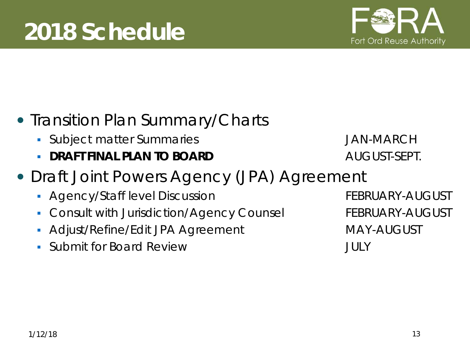

#### • Transition Plan Summary/Charts

- **Subject matter Summaries Gubset Constructed Annual Annual Annual Structure Construction Construction Constructio**
- **DRAFT FINAL PLAN TO BOARD AUGUST-SEPT.**
- Draft Joint Powers Agency (JPA) Agreement
	- **Agency/Staff level Discussion FEBRUARY-AUGUST**
	- Consult with Jurisdiction/Agency Counsel FEBRUARY-AUGUST
	- Adjust/Refine/Edit JPA Agreement MAY-AUGUST
	- Submit for Board Review **JULY**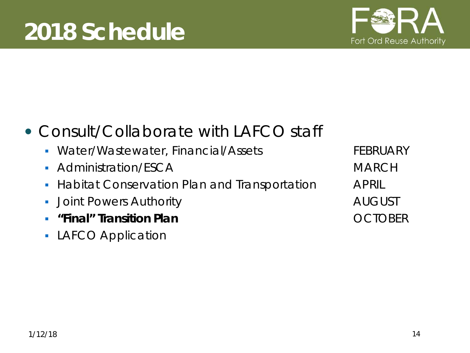

#### Consult/Collaborate with LAFCO staff

- Water/Wastewater, Financial/Assets FEBRUARY
- Administration/FSCA MARCH
- **Habitat Conservation Plan and Transportation APRIL**
- **Joint Powers Authority AUGUST AUGUST**
- **EXTERNAL "Final" Transition Plan COLOMER**
- **LAFCO Application**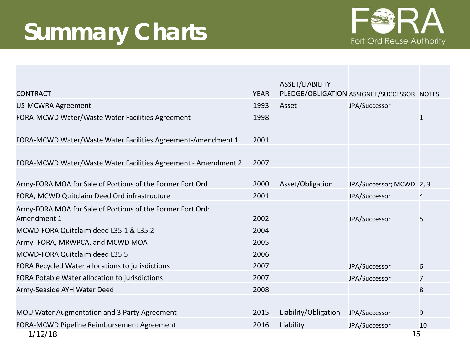## **Summary Charts**



|                                                                           |             | ASSET/LIABILITY      |                                            |              |
|---------------------------------------------------------------------------|-------------|----------------------|--------------------------------------------|--------------|
| <b>CONTRACT</b>                                                           | <b>YEAR</b> |                      | PLEDGE/OBLIGATION ASSIGNEE/SUCCESSOR NOTES |              |
| <b>US-MCWRA Agreement</b>                                                 | 1993        | Asset                | JPA/Successor                              |              |
| FORA-MCWD Water/Waste Water Facilities Agreement                          | 1998        |                      |                                            | $\mathbf{1}$ |
| FORA-MCWD Water/Waste Water Facilities Agreement-Amendment 1              | 2001        |                      |                                            |              |
| FORA-MCWD Water/Waste Water Facilities Agreement - Amendment 2            | 2007        |                      |                                            |              |
| Army-FORA MOA for Sale of Portions of the Former Fort Ord                 | 2000        | Asset/Obligation     | JPA/Successor; MCWD 2, 3                   |              |
| FORA, MCWD Quitclaim Deed Ord infrastructure                              | 2001        |                      | JPA/Successor                              | 4            |
| Army-FORA MOA for Sale of Portions of the Former Fort Ord:<br>Amendment 1 | 2002        |                      | JPA/Successor                              | 5            |
| MCWD-FORA Quitclaim deed L35.1 & L35.2                                    | 2004        |                      |                                            |              |
| Army-FORA, MRWPCA, and MCWD MOA                                           | 2005        |                      |                                            |              |
| MCWD-FORA Quitclaim deed L35.5                                            | 2006        |                      |                                            |              |
| FORA Recycled Water allocations to jurisdictions                          | 2007        |                      | JPA/Successor                              | 6            |
| FORA Potable Water allocation to jurisdictions                            | 2007        |                      | JPA/Successor                              | 7            |
| Army-Seaside AYH Water Deed                                               | 2008        |                      |                                            | 8            |
|                                                                           |             |                      |                                            |              |
| MOU Water Augmentation and 3 Party Agreement                              | 2015        | Liability/Obligation | JPA/Successor                              | 9            |
| FORA-MCWD Pipeline Reimbursement Agreement                                | 2016        | Liability            | JPA/Successor                              | 10           |
| 1/12/18                                                                   |             |                      | 15                                         |              |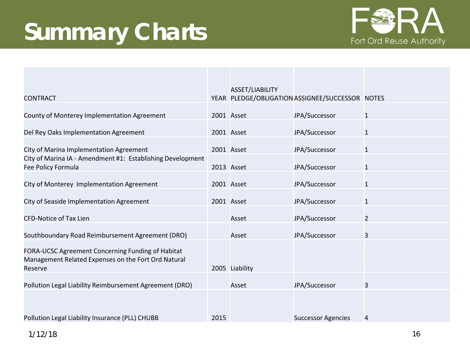## **Summary Charts**



| <b>CONTRACT</b>                                                                                                     |      | ASSET/LIABILITY | YEAR PLEDGE/OBLIGATION ASSIGNEE/SUCCESSOR NOTES |                |
|---------------------------------------------------------------------------------------------------------------------|------|-----------------|-------------------------------------------------|----------------|
| County of Monterey Implementation Agreement                                                                         |      | 2001 Asset      | JPA/Successor                                   | $\mathbf{1}$   |
| Del Rey Oaks Implementation Agreement                                                                               |      | 2001 Asset      | JPA/Successor                                   | $\mathbf{1}$   |
| City of Marina Implementation Agreement                                                                             |      | 2001 Asset      | JPA/Successor                                   | $\mathbf{1}$   |
| City of Marina IA - Amendment #1: Establishing Development<br>Fee Policy Formula                                    |      | 2013 Asset      | JPA/Successor                                   | $\mathbf{1}$   |
| City of Monterey Implementation Agreement                                                                           |      | 2001 Asset      | JPA/Successor                                   | $\mathbf{1}$   |
| City of Seaside Implementation Agreement                                                                            |      | 2001 Asset      | JPA/Successor                                   | $\mathbf{1}$   |
| <b>CFD-Notice of Tax Lien</b>                                                                                       |      | Asset           | JPA/Successor                                   | $\overline{2}$ |
| Southboundary Road Reimbursement Agreement (DRO)                                                                    |      | Asset           | JPA/Successor                                   | 3              |
| FORA-UCSC Agreement Concerning Funding of Habitat<br>Management Related Expenses on the Fort Ord Natural<br>Reserve |      | 2005 Liability  |                                                 |                |
| Pollution Legal Liability Reimbursement Agreement (DRO)                                                             |      | Asset           | JPA/Successor                                   | 3              |
|                                                                                                                     |      |                 |                                                 |                |
| Pollution Legal Liability Insurance (PLL) CHUBB                                                                     | 2015 |                 | <b>Successor Agencies</b>                       | 4              |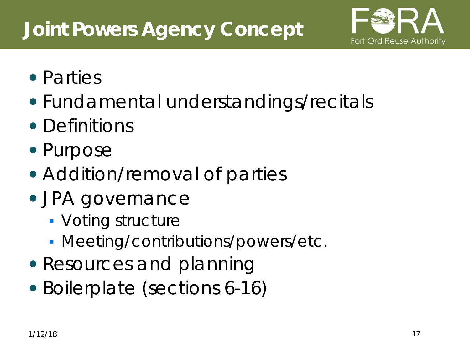### **Joint Powers Agency Concept**



- Parties
- Fundamental understandings/recitals
- Definitions
- Purpose
- Addition/removal of parties
- JPA governance
	- **Voting structure**
	- Meeting/contributions/powers/etc.
- Resources and planning
- Boilerplate (sections 6-16)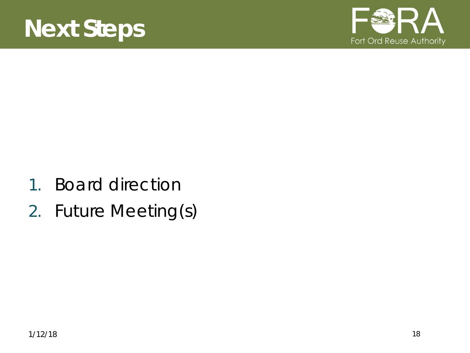

- 1. Board direction
- 2. Future Meeting(s)